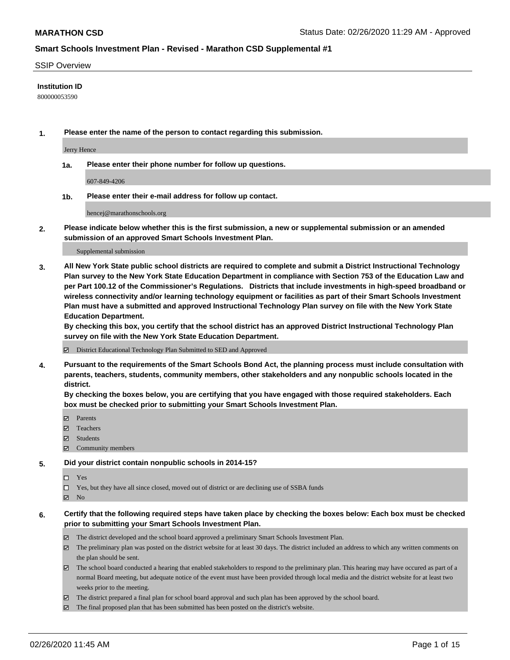#### SSIP Overview

#### **Institution ID**

800000053590

**1. Please enter the name of the person to contact regarding this submission.**

Jerry Hence

**1a. Please enter their phone number for follow up questions.**

607-849-4206

**1b. Please enter their e-mail address for follow up contact.**

hencej@marathonschools.org

**2. Please indicate below whether this is the first submission, a new or supplemental submission or an amended submission of an approved Smart Schools Investment Plan.**

#### Supplemental submission

**3. All New York State public school districts are required to complete and submit a District Instructional Technology Plan survey to the New York State Education Department in compliance with Section 753 of the Education Law and per Part 100.12 of the Commissioner's Regulations. Districts that include investments in high-speed broadband or wireless connectivity and/or learning technology equipment or facilities as part of their Smart Schools Investment Plan must have a submitted and approved Instructional Technology Plan survey on file with the New York State Education Department.** 

**By checking this box, you certify that the school district has an approved District Instructional Technology Plan survey on file with the New York State Education Department.**

District Educational Technology Plan Submitted to SED and Approved

**4. Pursuant to the requirements of the Smart Schools Bond Act, the planning process must include consultation with parents, teachers, students, community members, other stakeholders and any nonpublic schools located in the district.** 

**By checking the boxes below, you are certifying that you have engaged with those required stakeholders. Each box must be checked prior to submitting your Smart Schools Investment Plan.**

- **マ** Parents
- Teachers
- Students
- Community members

#### **5. Did your district contain nonpublic schools in 2014-15?**

 $\neg$  Yes

Yes, but they have all since closed, moved out of district or are declining use of SSBA funds

**Z** No

#### **6. Certify that the following required steps have taken place by checking the boxes below: Each box must be checked prior to submitting your Smart Schools Investment Plan.**

- The district developed and the school board approved a preliminary Smart Schools Investment Plan.
- $\boxtimes$  The preliminary plan was posted on the district website for at least 30 days. The district included an address to which any written comments on the plan should be sent.
- $\boxtimes$  The school board conducted a hearing that enabled stakeholders to respond to the preliminary plan. This hearing may have occured as part of a normal Board meeting, but adequate notice of the event must have been provided through local media and the district website for at least two weeks prior to the meeting.
- The district prepared a final plan for school board approval and such plan has been approved by the school board.
- The final proposed plan that has been submitted has been posted on the district's website.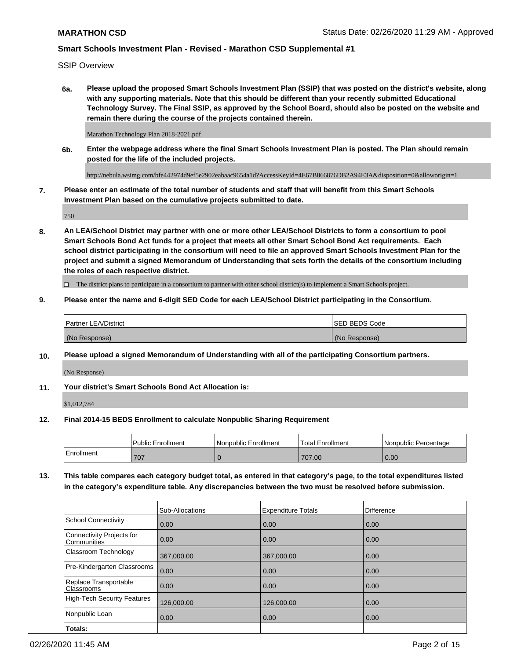SSIP Overview

**6a. Please upload the proposed Smart Schools Investment Plan (SSIP) that was posted on the district's website, along with any supporting materials. Note that this should be different than your recently submitted Educational Technology Survey. The Final SSIP, as approved by the School Board, should also be posted on the website and remain there during the course of the projects contained therein.**

Marathon Technology Plan 2018-2021.pdf

**6b. Enter the webpage address where the final Smart Schools Investment Plan is posted. The Plan should remain posted for the life of the included projects.**

http://nebula.wsimg.com/bfe442974d9ef5e2902eabaac9654a1d?AccessKeyId=4E67B866876DB2A94E3A&disposition=0&alloworigin=1

**7. Please enter an estimate of the total number of students and staff that will benefit from this Smart Schools Investment Plan based on the cumulative projects submitted to date.**

750

**8. An LEA/School District may partner with one or more other LEA/School Districts to form a consortium to pool Smart Schools Bond Act funds for a project that meets all other Smart School Bond Act requirements. Each school district participating in the consortium will need to file an approved Smart Schools Investment Plan for the project and submit a signed Memorandum of Understanding that sets forth the details of the consortium including the roles of each respective district.**

 $\Box$  The district plans to participate in a consortium to partner with other school district(s) to implement a Smart Schools project.

### **9. Please enter the name and 6-digit SED Code for each LEA/School District participating in the Consortium.**

| Partner LEA/District | <b>ISED BEDS Code</b> |
|----------------------|-----------------------|
| (No Response)        | (No Response)         |

## **10. Please upload a signed Memorandum of Understanding with all of the participating Consortium partners.**

(No Response)

**11. Your district's Smart Schools Bond Act Allocation is:**

\$1,012,784

#### **12. Final 2014-15 BEDS Enrollment to calculate Nonpublic Sharing Requirement**

|            | <b>Public Enrollment</b> | Nonpublic Enrollment | Total Enrollment | l Nonpublic Percentage |
|------------|--------------------------|----------------------|------------------|------------------------|
| Enrollment | 707                      |                      | 707.00           | 0.00                   |

**13. This table compares each category budget total, as entered in that category's page, to the total expenditures listed in the category's expenditure table. Any discrepancies between the two must be resolved before submission.**

|                                          | Sub-Allocations | <b>Expenditure Totals</b> | <b>Difference</b> |
|------------------------------------------|-----------------|---------------------------|-------------------|
| <b>School Connectivity</b>               | 0.00            | 0.00                      | 0.00              |
| Connectivity Projects for<br>Communities | 0.00            | 0.00                      | 0.00              |
| Classroom Technology                     | 367,000.00      | 367,000.00                | 0.00              |
| Pre-Kindergarten Classrooms              | 0.00            | 0.00                      | 0.00              |
| Replace Transportable<br>Classrooms      | 0.00            | 0.00                      | 0.00              |
| High-Tech Security Features              | 126,000.00      | 126,000.00                | 0.00              |
| Nonpublic Loan                           | 0.00            | 0.00                      | 0.00              |
| Totals:                                  |                 |                           |                   |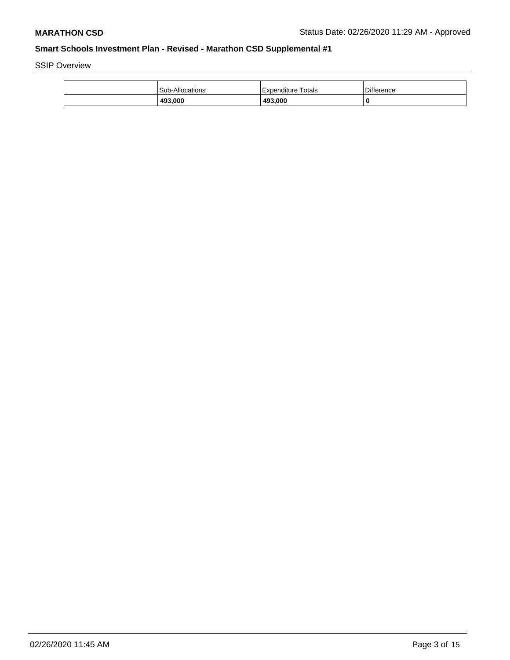SSIP Overview

| 493,000                | 493.000            | 0                 |
|------------------------|--------------------|-------------------|
| <b>Sub-Allocations</b> | Expenditure Totals | <b>Difference</b> |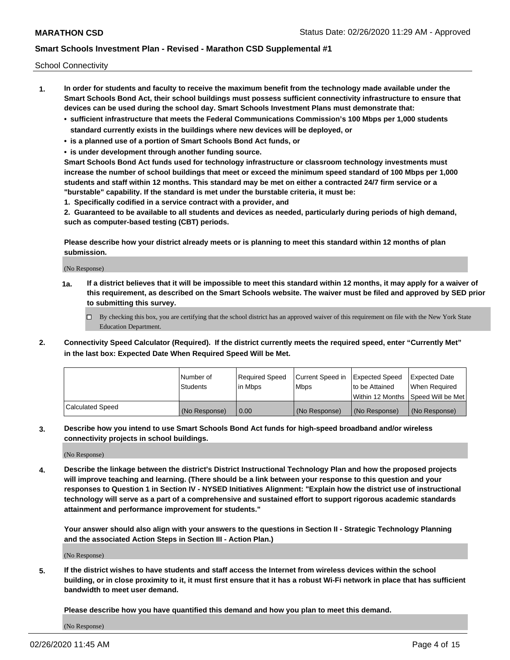School Connectivity

- **1. In order for students and faculty to receive the maximum benefit from the technology made available under the Smart Schools Bond Act, their school buildings must possess sufficient connectivity infrastructure to ensure that devices can be used during the school day. Smart Schools Investment Plans must demonstrate that:**
	- **• sufficient infrastructure that meets the Federal Communications Commission's 100 Mbps per 1,000 students standard currently exists in the buildings where new devices will be deployed, or**
	- **• is a planned use of a portion of Smart Schools Bond Act funds, or**
	- **• is under development through another funding source.**

**Smart Schools Bond Act funds used for technology infrastructure or classroom technology investments must increase the number of school buildings that meet or exceed the minimum speed standard of 100 Mbps per 1,000 students and staff within 12 months. This standard may be met on either a contracted 24/7 firm service or a "burstable" capability. If the standard is met under the burstable criteria, it must be:**

**1. Specifically codified in a service contract with a provider, and**

**2. Guaranteed to be available to all students and devices as needed, particularly during periods of high demand, such as computer-based testing (CBT) periods.**

**Please describe how your district already meets or is planning to meet this standard within 12 months of plan submission.**

(No Response)

**1a. If a district believes that it will be impossible to meet this standard within 12 months, it may apply for a waiver of this requirement, as described on the Smart Schools website. The waiver must be filed and approved by SED prior to submitting this survey.**

 $\Box$  By checking this box, you are certifying that the school district has an approved waiver of this requirement on file with the New York State Education Department.

**2. Connectivity Speed Calculator (Required). If the district currently meets the required speed, enter "Currently Met" in the last box: Expected Date When Required Speed Will be Met.**

|                  | l Number of     | Required Speed | Current Speed in | Expected Speed | Expected Date                        |
|------------------|-----------------|----------------|------------------|----------------|--------------------------------------|
|                  | <b>Students</b> | In Mbps        | <b>Mbps</b>      | to be Attained | When Required                        |
|                  |                 |                |                  |                | Within 12 Months 1Speed Will be Met1 |
| Calculated Speed | (No Response)   | 0.00           | (No Response)    | (No Response)  | l (No Response)                      |

**3. Describe how you intend to use Smart Schools Bond Act funds for high-speed broadband and/or wireless connectivity projects in school buildings.**

(No Response)

**4. Describe the linkage between the district's District Instructional Technology Plan and how the proposed projects will improve teaching and learning. (There should be a link between your response to this question and your responses to Question 1 in Section IV - NYSED Initiatives Alignment: "Explain how the district use of instructional technology will serve as a part of a comprehensive and sustained effort to support rigorous academic standards attainment and performance improvement for students."** 

**Your answer should also align with your answers to the questions in Section II - Strategic Technology Planning and the associated Action Steps in Section III - Action Plan.)**

(No Response)

**5. If the district wishes to have students and staff access the Internet from wireless devices within the school building, or in close proximity to it, it must first ensure that it has a robust Wi-Fi network in place that has sufficient bandwidth to meet user demand.**

**Please describe how you have quantified this demand and how you plan to meet this demand.**

(No Response)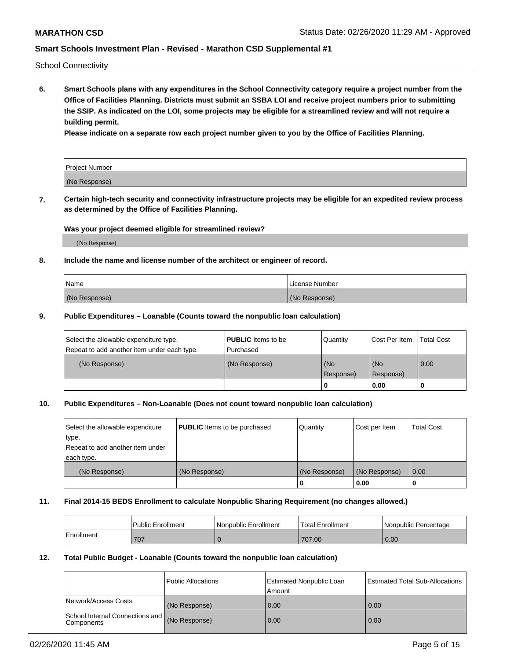School Connectivity

**6. Smart Schools plans with any expenditures in the School Connectivity category require a project number from the Office of Facilities Planning. Districts must submit an SSBA LOI and receive project numbers prior to submitting the SSIP. As indicated on the LOI, some projects may be eligible for a streamlined review and will not require a building permit.**

**Please indicate on a separate row each project number given to you by the Office of Facilities Planning.**

| Project Number |  |
|----------------|--|
| (No Response)  |  |

**7. Certain high-tech security and connectivity infrastructure projects may be eligible for an expedited review process as determined by the Office of Facilities Planning.**

#### **Was your project deemed eligible for streamlined review?**

(No Response)

## **8. Include the name and license number of the architect or engineer of record.**

| Name          | License Number |
|---------------|----------------|
| (No Response) | (No Response)  |

#### **9. Public Expenditures – Loanable (Counts toward the nonpublic loan calculation)**

| Select the allowable expenditure type.<br>Repeat to add another item under each type. | <b>PUBLIC</b> Items to be<br>l Purchased | Quantity         | l Cost Per Item  | <b>Total Cost</b> |
|---------------------------------------------------------------------------------------|------------------------------------------|------------------|------------------|-------------------|
| (No Response)                                                                         | (No Response)                            | (No<br>Response) | (No<br>Response) | 0.00              |
|                                                                                       |                                          | 0                | 0.00             |                   |

# **10. Public Expenditures – Non-Loanable (Does not count toward nonpublic loan calculation)**

| Select the allowable expenditure<br>type.<br>Repeat to add another item under<br>each type. | <b>PUBLIC</b> Items to be purchased | Quantity      | Cost per Item | <b>Total Cost</b> |
|---------------------------------------------------------------------------------------------|-------------------------------------|---------------|---------------|-------------------|
| (No Response)                                                                               | (No Response)                       | (No Response) | (No Response) | 0.00              |
|                                                                                             |                                     |               | 0.00          |                   |

#### **11. Final 2014-15 BEDS Enrollment to calculate Nonpublic Sharing Requirement (no changes allowed.)**

|            | l Public Enrollment | Nonpublic Enrollment | <b>Total Enrollment</b> | l Nonpublic Percentage |
|------------|---------------------|----------------------|-------------------------|------------------------|
| Enrollment | 707                 |                      | 707.00                  | 0.00                   |

#### **12. Total Public Budget - Loanable (Counts toward the nonpublic loan calculation)**

|                                                      | Public Allocations | <b>Estimated Nonpublic Loan</b><br>Amount | Estimated Total Sub-Allocations |
|------------------------------------------------------|--------------------|-------------------------------------------|---------------------------------|
| Network/Access Costs                                 | (No Response)      | 0.00                                      | 0.00                            |
| School Internal Connections and<br><b>Components</b> | (No Response)      | 0.00                                      | 0.00                            |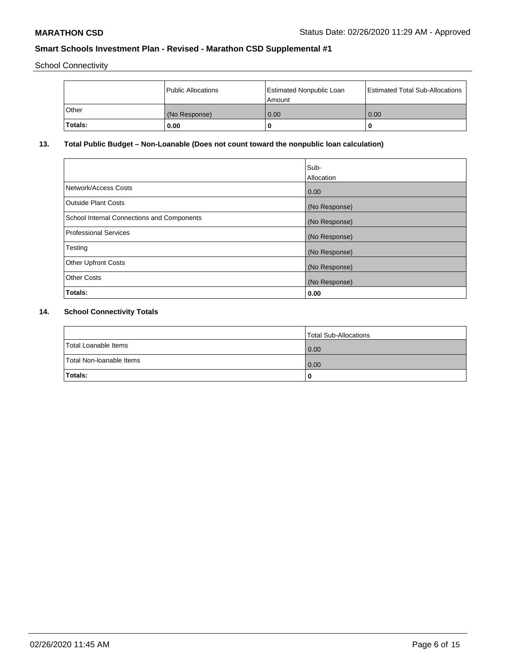School Connectivity

|              | Public Allocations | <b>Estimated Nonpublic Loan</b><br>Amount | <b>Estimated Total Sub-Allocations</b> |
|--------------|--------------------|-------------------------------------------|----------------------------------------|
| <b>Other</b> | (No Response)      | 0.00                                      | 0.00                                   |
| Totals:      | 0.00               |                                           | 0                                      |

# **13. Total Public Budget – Non-Loanable (Does not count toward the nonpublic loan calculation)**

| Sub-<br>Allocation |
|--------------------|
| 0.00               |
| (No Response)      |
| (No Response)      |
| (No Response)      |
| (No Response)      |
| (No Response)      |
| (No Response)      |
| 0.00               |
|                    |

# **14. School Connectivity Totals**

|                          | Total Sub-Allocations |
|--------------------------|-----------------------|
| Total Loanable Items     | 0.00                  |
| Total Non-Ioanable Items | 0.00                  |
| Totals:                  | 0                     |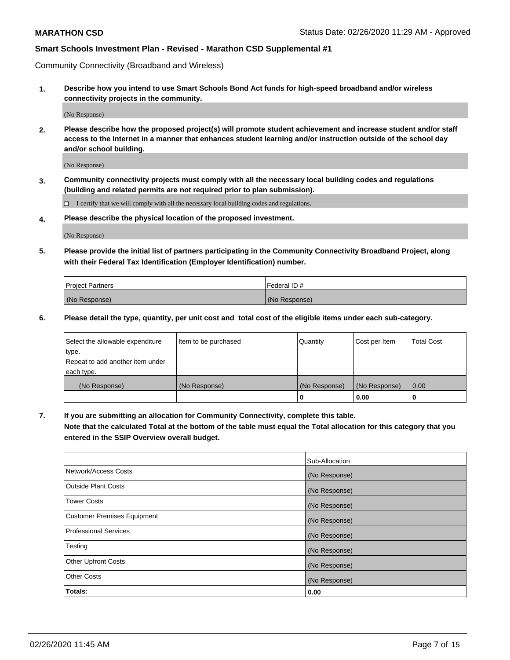Community Connectivity (Broadband and Wireless)

**1. Describe how you intend to use Smart Schools Bond Act funds for high-speed broadband and/or wireless connectivity projects in the community.**

(No Response)

**2. Please describe how the proposed project(s) will promote student achievement and increase student and/or staff access to the Internet in a manner that enhances student learning and/or instruction outside of the school day and/or school building.**

(No Response)

**3. Community connectivity projects must comply with all the necessary local building codes and regulations (building and related permits are not required prior to plan submission).**

 $\Box$  I certify that we will comply with all the necessary local building codes and regulations.

**4. Please describe the physical location of the proposed investment.**

(No Response)

**5. Please provide the initial list of partners participating in the Community Connectivity Broadband Project, along with their Federal Tax Identification (Employer Identification) number.**

| <b>Project Partners</b> | l Federal ID # |
|-------------------------|----------------|
| (No Response)           | (No Response)  |

**6. Please detail the type, quantity, per unit cost and total cost of the eligible items under each sub-category.**

| Select the allowable expenditure | Item to be purchased | Quantity      | Cost per Item | <b>Total Cost</b> |
|----------------------------------|----------------------|---------------|---------------|-------------------|
| type.                            |                      |               |               |                   |
| Repeat to add another item under |                      |               |               |                   |
| each type.                       |                      |               |               |                   |
| (No Response)                    | (No Response)        | (No Response) | (No Response) | 0.00              |
|                                  |                      | o             | 0.00          |                   |

**7. If you are submitting an allocation for Community Connectivity, complete this table.**

**Note that the calculated Total at the bottom of the table must equal the Total allocation for this category that you entered in the SSIP Overview overall budget.**

|                                    | Sub-Allocation |
|------------------------------------|----------------|
| Network/Access Costs               | (No Response)  |
| Outside Plant Costs                | (No Response)  |
| <b>Tower Costs</b>                 | (No Response)  |
| <b>Customer Premises Equipment</b> | (No Response)  |
| <b>Professional Services</b>       | (No Response)  |
| Testing                            | (No Response)  |
| <b>Other Upfront Costs</b>         | (No Response)  |
| <b>Other Costs</b>                 | (No Response)  |
| Totals:                            | 0.00           |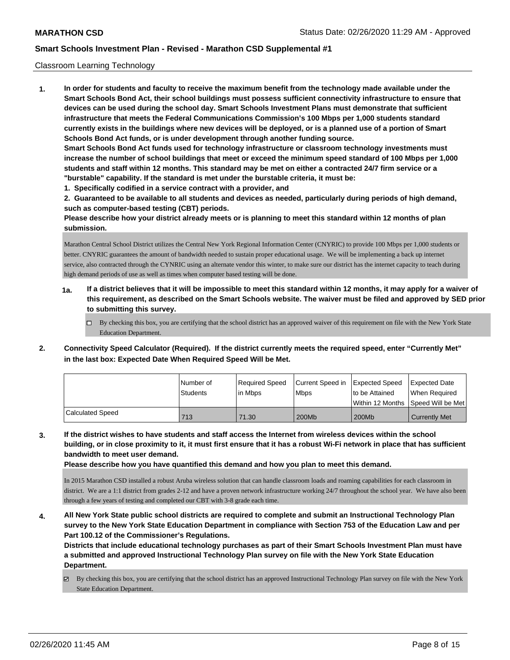## Classroom Learning Technology

**1. In order for students and faculty to receive the maximum benefit from the technology made available under the Smart Schools Bond Act, their school buildings must possess sufficient connectivity infrastructure to ensure that devices can be used during the school day. Smart Schools Investment Plans must demonstrate that sufficient infrastructure that meets the Federal Communications Commission's 100 Mbps per 1,000 students standard currently exists in the buildings where new devices will be deployed, or is a planned use of a portion of Smart Schools Bond Act funds, or is under development through another funding source. Smart Schools Bond Act funds used for technology infrastructure or classroom technology investments must increase the number of school buildings that meet or exceed the minimum speed standard of 100 Mbps per 1,000 students and staff within 12 months. This standard may be met on either a contracted 24/7 firm service or a "burstable" capability. If the standard is met under the burstable criteria, it must be: 1. Specifically codified in a service contract with a provider, and**

**2. Guaranteed to be available to all students and devices as needed, particularly during periods of high demand, such as computer-based testing (CBT) periods.**

**Please describe how your district already meets or is planning to meet this standard within 12 months of plan submission.**

Marathon Central School District utilizes the Central New York Regional Information Center (CNYRIC) to provide 100 Mbps per 1,000 students or better. CNYRIC guarantees the amount of bandwidth needed to sustain proper educational usage. We will be implementing a back up internet service, also contracted through the CYNRIC using an alternate vendor this winter, to make sure our district has the internet capacity to teach during high demand periods of use as well as times when computer based testing will be done.

- **1a. If a district believes that it will be impossible to meet this standard within 12 months, it may apply for a waiver of this requirement, as described on the Smart Schools website. The waiver must be filed and approved by SED prior to submitting this survey.**
	- $\Box$  By checking this box, you are certifying that the school district has an approved waiver of this requirement on file with the New York State Education Department.
- **2. Connectivity Speed Calculator (Required). If the district currently meets the required speed, enter "Currently Met" in the last box: Expected Date When Required Speed Will be Met.**

|                  | l Number of<br>Students | Reauired Speed<br>l in Mbps | Current Speed in Expected Speed<br><b>Mbps</b> | to be Attained | <b>Expected Date</b><br>When Required   |
|------------------|-------------------------|-----------------------------|------------------------------------------------|----------------|-----------------------------------------|
|                  |                         |                             |                                                |                | l Within 12 Months ISpeed Will be Met l |
| Calculated Speed | 713                     | 71.30                       | 200Mb                                          | 200Mb          | <b>Currently Met</b>                    |

**3. If the district wishes to have students and staff access the Internet from wireless devices within the school building, or in close proximity to it, it must first ensure that it has a robust Wi-Fi network in place that has sufficient bandwidth to meet user demand.**

**Please describe how you have quantified this demand and how you plan to meet this demand.**

In 2015 Marathon CSD installed a robust Aruba wireless solution that can handle classroom loads and roaming capabilities for each classroom in district. We are a 1:1 district from grades 2-12 and have a proven network infrastructure working 24/7 throughout the school year. We have also been through a few years of testing and completed our CBT with 3-8 grade each time.

**4. All New York State public school districts are required to complete and submit an Instructional Technology Plan survey to the New York State Education Department in compliance with Section 753 of the Education Law and per Part 100.12 of the Commissioner's Regulations.**

**Districts that include educational technology purchases as part of their Smart Schools Investment Plan must have a submitted and approved Instructional Technology Plan survey on file with the New York State Education Department.**

 $\boxtimes$  By checking this box, you are certifying that the school district has an approved Instructional Technology Plan survey on file with the New York State Education Department.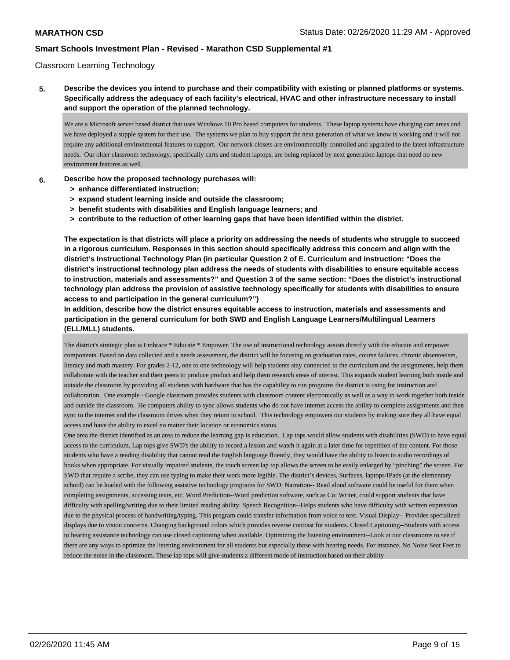### Classroom Learning Technology

**5. Describe the devices you intend to purchase and their compatibility with existing or planned platforms or systems. Specifically address the adequacy of each facility's electrical, HVAC and other infrastructure necessary to install and support the operation of the planned technology.**

We are a Microsoft server based district that uses Windows 10 Pro based computers for students. These laptop systems have charging cart areas and we have deployed a supple system for their use. The systems we plan to buy support the next generation of what we know is working and it will not require any additional environmental features to support. Our network closets are environmentally controlled and upgraded to the latest infrastructure needs. Our older classroom technology, specifically carts and student laptops, are being replaced by next generation laptops that need no new environment features as well.

- **6. Describe how the proposed technology purchases will:**
	- **> enhance differentiated instruction;**
	- **> expand student learning inside and outside the classroom;**
	- **> benefit students with disabilities and English language learners; and**
	- **> contribute to the reduction of other learning gaps that have been identified within the district.**

**The expectation is that districts will place a priority on addressing the needs of students who struggle to succeed in a rigorous curriculum. Responses in this section should specifically address this concern and align with the district's Instructional Technology Plan (in particular Question 2 of E. Curriculum and Instruction: "Does the district's instructional technology plan address the needs of students with disabilities to ensure equitable access to instruction, materials and assessments?" and Question 3 of the same section: "Does the district's instructional technology plan address the provision of assistive technology specifically for students with disabilities to ensure access to and participation in the general curriculum?")**

**In addition, describe how the district ensures equitable access to instruction, materials and assessments and participation in the general curriculum for both SWD and English Language Learners/Multilingual Learners (ELL/MLL) students.**

The district's strategic plan is Embrace \* Educate \* Empower. The use of instructional technology assists directly with the educate and empower components. Based on data collected and a needs assessment, the district will be focusing on graduation rates, course failures, chronic absenteeism, literacy and math mastery. For grades 2-12, one to one technology will help students stay connected to the curriculum and the assignments, help them collaborate with the teacher and their peers to produce product and help them research areas of interest. This expands student learning both inside and outside the classroom by providing all students with hardware that has the capability to run programs the district is using for instruction and collaboration. One example - Google classroom provides students with classroom content electronically as well as a way to work together both inside and outside the classroom. He computers ability to sync allows students who do not have internet access the ability to complete assignments and then sync to the internet and the classroom drives when they return to school. This technology empowers our students by making sure they all have equal access and have the ability to excel no matter their location or economics status.

One area the district identified as an area to reduce the learning gap is education. Lap tops would allow students with disabilities (SWD) to have equal access to the curriculum. Lap tops give SWD's the ability to record a lesson and watch it again at a later time for repetition of the content. For those students who have a reading disability that cannot read the English language fluently, they would have the ability to listen to audio recordings of books when appropriate. For visually impaired students, the touch screen lap top allows the screen to be easily enlarged by "pinching" the screen. For SWD that require a scribe, they can use typing to make their work more legible. The district's devices, Surfaces, laptops/IPads (at the elementary school) can be loaded with the following assistive technology programs for SWD: Narration-- Read aloud software could be useful for them when completing assignments, accessing texts, etc. Word Prediction--Word prediction software, such as Co: Writer, could support students that have difficulty with spelling/writing due to their limited reading ability. Speech Recognition--Helps students who have difficulty with written expression due to the physical process of handwriting/typing. This program could transfer information from voice to text. Visual Display-- Provides specialized displays due to vision concerns. Changing background colors which provides reverse contrast for students. Closed Captioning--Students with access to hearing assistance technology can use closed captioning when available. Optimizing the listening environment--Look at our classrooms to see if there are any ways to optimize the listening environment for all students but especially those with hearing needs. For instance, No Noise Seat Feet to reduce the noise in the classroom. These lap tops will give students a different mode of instruction based on their ability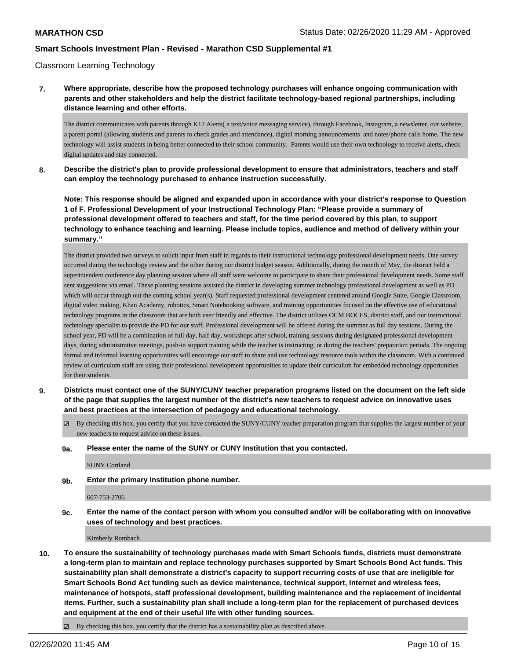### Classroom Learning Technology

**7. Where appropriate, describe how the proposed technology purchases will enhance ongoing communication with parents and other stakeholders and help the district facilitate technology-based regional partnerships, including distance learning and other efforts.**

The district communicates with parents through K12 Alerts( a text/voice messaging service), through Facebook, Instagram, a newsletter, our website, a parent portal (allowing students and parents to check grades and attendance), digital morning announcements and notes/phone calls home. The new technology will assist students in being better connected to their school community. Parents would use their own technology to receive alerts, check digital updates and stay connected.

**8. Describe the district's plan to provide professional development to ensure that administrators, teachers and staff can employ the technology purchased to enhance instruction successfully.**

**Note: This response should be aligned and expanded upon in accordance with your district's response to Question 1 of F. Professional Development of your Instructional Technology Plan: "Please provide a summary of professional development offered to teachers and staff, for the time period covered by this plan, to support technology to enhance teaching and learning. Please include topics, audience and method of delivery within your summary."**

The district provided two surveys to solicit input from staff in regards to their instructional technology professional development needs. One survey occurred during the technology review and the other during our district budget season. Additionally, during the month of May, the district held a superintendent conference day planning session where all staff were welcome to participate to share their professional development needs. Some staff sent suggestions via email. These planning sessions assisted the district in developing summer technology professional development as well as PD which will occur through out the coming school year(s). Staff requested professional development centered around Google Suite, Google Classroom, digital video making, Khan Academy, robotics, Smart Notebooking software, and training opportunities focused on the effective use of educational technology programs in the classroom that are both user friendly and effective. The district utilizes OCM BOCES, district staff, and our instructional technology specialist to provide the PD for our staff. Professional development will be offered during the summer as full day sessions. During the school year, PD will be a combination of full day, half day, workshops after school, training sessions during designated professional development days, during administrative meetings, push-in support training while the teacher is instructing, or during the teachers' preparation periods. The ongoing formal and informal learning opportunities will encourage our staff to share and use technology resource tools within the classroom. With a continued review of curriculum staff are using their professional development opportunities to update their curriculum for embedded technology opportunities for their students.

- **9. Districts must contact one of the SUNY/CUNY teacher preparation programs listed on the document on the left side of the page that supplies the largest number of the district's new teachers to request advice on innovative uses and best practices at the intersection of pedagogy and educational technology.**
	- $\boxtimes$  By checking this box, you certify that you have contacted the SUNY/CUNY teacher preparation program that supplies the largest number of your new teachers to request advice on these issues.

#### **9a. Please enter the name of the SUNY or CUNY Institution that you contacted.**

SUNY Cortland

**9b. Enter the primary Institution phone number.**

607-753-2706

**9c. Enter the name of the contact person with whom you consulted and/or will be collaborating with on innovative uses of technology and best practices.**

Kimberly Rombach

**10. To ensure the sustainability of technology purchases made with Smart Schools funds, districts must demonstrate a long-term plan to maintain and replace technology purchases supported by Smart Schools Bond Act funds. This sustainability plan shall demonstrate a district's capacity to support recurring costs of use that are ineligible for Smart Schools Bond Act funding such as device maintenance, technical support, Internet and wireless fees, maintenance of hotspots, staff professional development, building maintenance and the replacement of incidental items. Further, such a sustainability plan shall include a long-term plan for the replacement of purchased devices and equipment at the end of their useful life with other funding sources.**

By checking this box, you certify that the district has a sustainability plan as described above.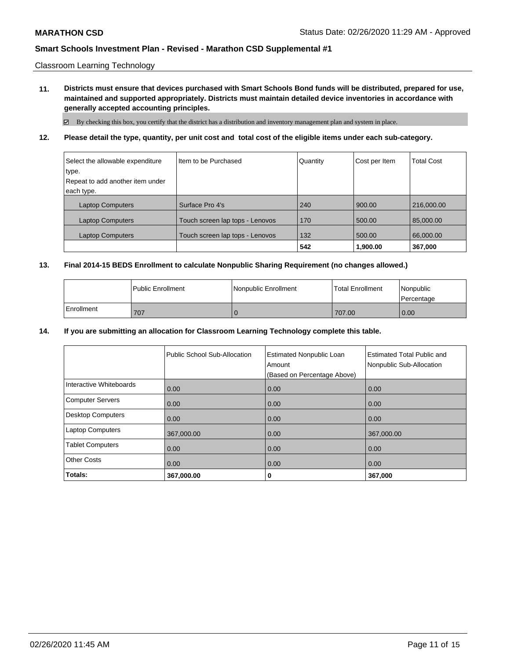Classroom Learning Technology

**11. Districts must ensure that devices purchased with Smart Schools Bond funds will be distributed, prepared for use, maintained and supported appropriately. Districts must maintain detailed device inventories in accordance with generally accepted accounting principles.**

By checking this box, you certify that the district has a distribution and inventory management plan and system in place.

**12. Please detail the type, quantity, per unit cost and total cost of the eligible items under each sub-category.**

| Select the allowable expenditure | I Item to be Purchased          | Quantity | Cost per Item | <b>Total Cost</b> |
|----------------------------------|---------------------------------|----------|---------------|-------------------|
| type.                            |                                 |          |               |                   |
| Repeat to add another item under |                                 |          |               |                   |
| each type.                       |                                 |          |               |                   |
| <b>Laptop Computers</b>          | Surface Pro 4's                 | 240      | 900.00        | 216,000.00        |
| <b>Laptop Computers</b>          | Touch screen lap tops - Lenovos | 170      | 500.00        | 85,000.00         |
| <b>Laptop Computers</b>          | Touch screen lap tops - Lenovos | 132      | 500.00        | 66,000.00         |
|                                  |                                 | 542      | 1,900.00      | 367,000           |

## **13. Final 2014-15 BEDS Enrollment to calculate Nonpublic Sharing Requirement (no changes allowed.)**

|            | l Public Enrollment | Nonpublic Enrollment | <b>Total Enrollment</b> | Nonpublic<br>l Percentage |
|------------|---------------------|----------------------|-------------------------|---------------------------|
| Enrollment | 707                 |                      | 707.00                  | 0.00                      |

### **14. If you are submitting an allocation for Classroom Learning Technology complete this table.**

|                         | Public School Sub-Allocation | <b>Estimated Nonpublic Loan</b><br>Amount<br>(Based on Percentage Above) | <b>Estimated Total Public and</b><br>Nonpublic Sub-Allocation |
|-------------------------|------------------------------|--------------------------------------------------------------------------|---------------------------------------------------------------|
| Interactive Whiteboards | 0.00                         | 0.00                                                                     | 0.00                                                          |
| Computer Servers        | 0.00                         | 0.00                                                                     | 0.00                                                          |
| Desktop Computers       | 0.00                         | 0.00                                                                     | 0.00                                                          |
| Laptop Computers        | 367,000.00                   | 0.00                                                                     | 367,000.00                                                    |
| <b>Tablet Computers</b> | 0.00                         | 0.00                                                                     | 0.00                                                          |
| <b>Other Costs</b>      | 0.00                         | 0.00                                                                     | 0.00                                                          |
| Totals:                 | 367,000.00                   | 0                                                                        | 367,000                                                       |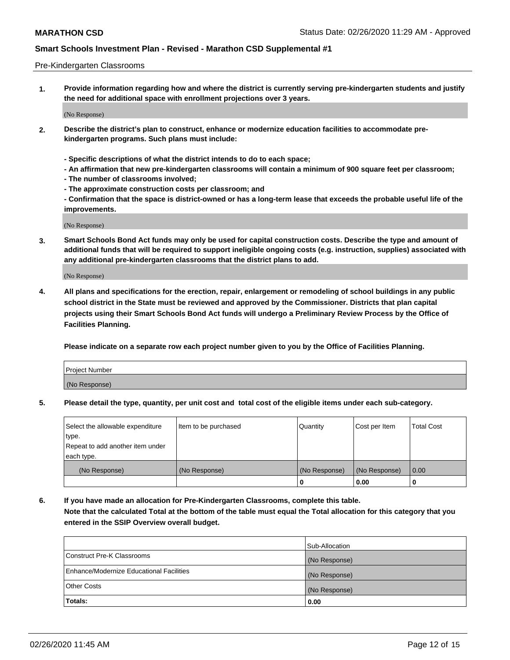### Pre-Kindergarten Classrooms

**1. Provide information regarding how and where the district is currently serving pre-kindergarten students and justify the need for additional space with enrollment projections over 3 years.**

(No Response)

- **2. Describe the district's plan to construct, enhance or modernize education facilities to accommodate prekindergarten programs. Such plans must include:**
	- **Specific descriptions of what the district intends to do to each space;**
	- **An affirmation that new pre-kindergarten classrooms will contain a minimum of 900 square feet per classroom;**
	- **The number of classrooms involved;**
	- **The approximate construction costs per classroom; and**
	- **Confirmation that the space is district-owned or has a long-term lease that exceeds the probable useful life of the improvements.**

(No Response)

**3. Smart Schools Bond Act funds may only be used for capital construction costs. Describe the type and amount of additional funds that will be required to support ineligible ongoing costs (e.g. instruction, supplies) associated with any additional pre-kindergarten classrooms that the district plans to add.**

(No Response)

**4. All plans and specifications for the erection, repair, enlargement or remodeling of school buildings in any public school district in the State must be reviewed and approved by the Commissioner. Districts that plan capital projects using their Smart Schools Bond Act funds will undergo a Preliminary Review Process by the Office of Facilities Planning.**

**Please indicate on a separate row each project number given to you by the Office of Facilities Planning.**

| Project Number |  |
|----------------|--|
| (No Response)  |  |
|                |  |

**5. Please detail the type, quantity, per unit cost and total cost of the eligible items under each sub-category.**

| Select the allowable expenditure | Item to be purchased | Quantity      | Cost per Item | <b>Total Cost</b> |
|----------------------------------|----------------------|---------------|---------------|-------------------|
| type.                            |                      |               |               |                   |
| Repeat to add another item under |                      |               |               |                   |
| each type.                       |                      |               |               |                   |
| (No Response)                    | (No Response)        | (No Response) | (No Response) | 0.00              |
|                                  |                      | U             | 0.00          |                   |

**6. If you have made an allocation for Pre-Kindergarten Classrooms, complete this table. Note that the calculated Total at the bottom of the table must equal the Total allocation for this category that you entered in the SSIP Overview overall budget.**

|                                          | Sub-Allocation |
|------------------------------------------|----------------|
| Construct Pre-K Classrooms               | (No Response)  |
| Enhance/Modernize Educational Facilities | (No Response)  |
| <b>Other Costs</b>                       | (No Response)  |
| Totals:                                  | 0.00           |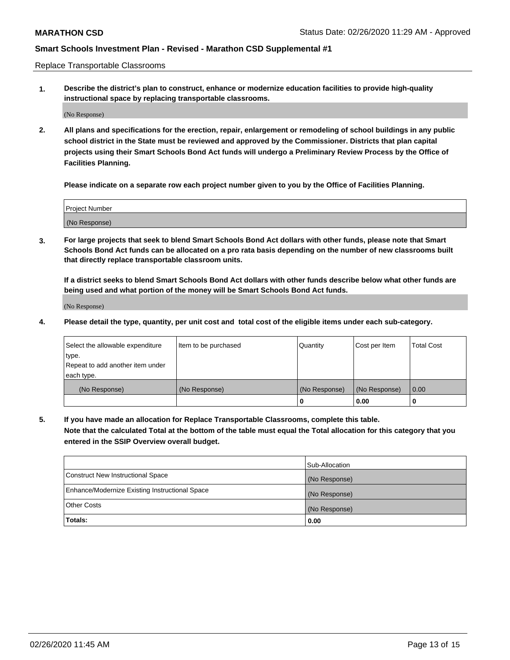Replace Transportable Classrooms

**1. Describe the district's plan to construct, enhance or modernize education facilities to provide high-quality instructional space by replacing transportable classrooms.**

(No Response)

**2. All plans and specifications for the erection, repair, enlargement or remodeling of school buildings in any public school district in the State must be reviewed and approved by the Commissioner. Districts that plan capital projects using their Smart Schools Bond Act funds will undergo a Preliminary Review Process by the Office of Facilities Planning.**

**Please indicate on a separate row each project number given to you by the Office of Facilities Planning.**

| Project Number |  |
|----------------|--|
|                |  |
|                |  |
|                |  |
| (No Response)  |  |
|                |  |
|                |  |

**3. For large projects that seek to blend Smart Schools Bond Act dollars with other funds, please note that Smart Schools Bond Act funds can be allocated on a pro rata basis depending on the number of new classrooms built that directly replace transportable classroom units.**

**If a district seeks to blend Smart Schools Bond Act dollars with other funds describe below what other funds are being used and what portion of the money will be Smart Schools Bond Act funds.**

(No Response)

**4. Please detail the type, quantity, per unit cost and total cost of the eligible items under each sub-category.**

| Select the allowable expenditure | Item to be purchased | Quantity      | Cost per Item | Total Cost |
|----------------------------------|----------------------|---------------|---------------|------------|
| ∣type.                           |                      |               |               |            |
| Repeat to add another item under |                      |               |               |            |
| each type.                       |                      |               |               |            |
| (No Response)                    | (No Response)        | (No Response) | (No Response) | 0.00       |
|                                  |                      | u             | 0.00          |            |

**5. If you have made an allocation for Replace Transportable Classrooms, complete this table. Note that the calculated Total at the bottom of the table must equal the Total allocation for this category that you entered in the SSIP Overview overall budget.**

|                                                | Sub-Allocation |
|------------------------------------------------|----------------|
| Construct New Instructional Space              | (No Response)  |
| Enhance/Modernize Existing Instructional Space | (No Response)  |
| Other Costs                                    | (No Response)  |
| Totals:                                        | 0.00           |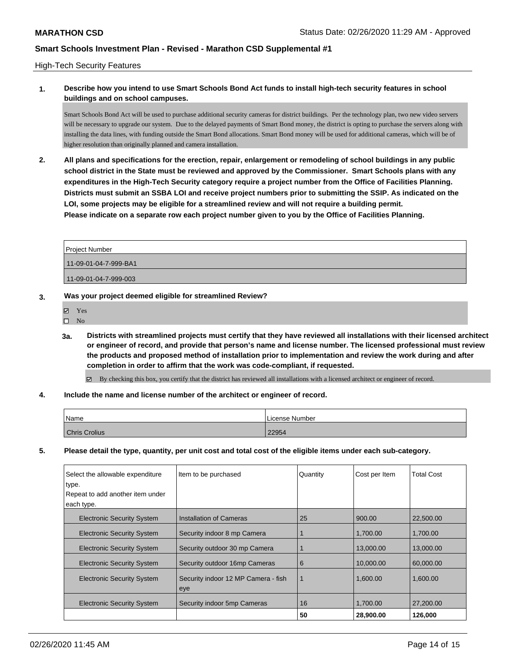## High-Tech Security Features

# **1. Describe how you intend to use Smart Schools Bond Act funds to install high-tech security features in school buildings and on school campuses.**

Smart Schools Bond Act will be used to purchase additional security cameras for district buildings. Per the technology plan, two new video servers will be necessary to upgrade our system. Due to the delayed payments of Smart Bond money, the district is opting to purchase the servers along with installing the data lines, with funding outside the Smart Bond allocations. Smart Bond money will be used for additional cameras, which will be of higher resolution than originally planned and camera installation.

**2. All plans and specifications for the erection, repair, enlargement or remodeling of school buildings in any public school district in the State must be reviewed and approved by the Commissioner. Smart Schools plans with any expenditures in the High-Tech Security category require a project number from the Office of Facilities Planning. Districts must submit an SSBA LOI and receive project numbers prior to submitting the SSIP. As indicated on the LOI, some projects may be eligible for a streamlined review and will not require a building permit. Please indicate on a separate row each project number given to you by the Office of Facilities Planning.**

| <b>Project Number</b> |
|-----------------------|
| 11-09-01-04-7-999-BA1 |
| 11-09-01-04-7-999-003 |

## **3. Was your project deemed eligible for streamlined Review?**

| 罓 | Yes |
|---|-----|
| П | Nο  |

**3a. Districts with streamlined projects must certify that they have reviewed all installations with their licensed architect or engineer of record, and provide that person's name and license number. The licensed professional must review the products and proposed method of installation prior to implementation and review the work during and after completion in order to affirm that the work was code-compliant, if requested.**

By checking this box, you certify that the district has reviewed all installations with a licensed architect or engineer of record.

## **4. Include the name and license number of the architect or engineer of record.**

| Name                 | License Number |
|----------------------|----------------|
| <b>Chris Crolius</b> | 22954          |

**5. Please detail the type, quantity, per unit cost and total cost of the eligible items under each sub-category.**

| Select the allowable expenditure          | Item to be purchased                       | Quantity | Cost per Item | Total Cost |
|-------------------------------------------|--------------------------------------------|----------|---------------|------------|
| type.<br>Repeat to add another item under |                                            |          |               |            |
| each type.                                |                                            |          |               |            |
| <b>Electronic Security System</b>         | Installation of Cameras                    | 25       | 900.00        | 22,500,00  |
| <b>Electronic Security System</b>         | Security indoor 8 mp Camera                |          | 1.700.00      | 1.700.00   |
| <b>Electronic Security System</b>         | Security outdoor 30 mp Camera              |          | 13,000.00     | 13,000.00  |
| <b>Electronic Security System</b>         | Security outdoor 16mp Cameras              | 6        | 10.000.00     | 60,000,00  |
| <b>Electronic Security System</b>         | Security indoor 12 MP Camera - fish<br>eye |          | 1.600.00      | 1,600.00   |
| <b>Electronic Security System</b>         | Security indoor 5mp Cameras                | 16       | 1.700.00      | 27,200.00  |
|                                           |                                            | 50       | 28,900.00     | 126,000    |